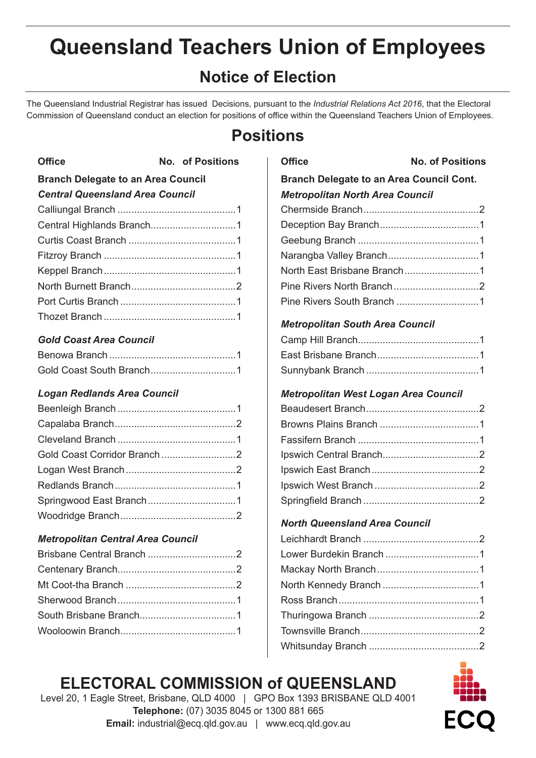# **Queensland Teachers Union of Employees**

# **Notice of Election**

The Queensland Industrial Registrar has issued Decisions, pursuant to the *Industrial Relations Act 2016*, that the Electoral Commission of Queensland conduct an election for positions of office within the Queensland Teachers Union of Employees.

# **Positions**

| <b>Office</b><br>No. of Positions         |  |  |
|-------------------------------------------|--|--|
| <b>Branch Delegate to an Area Council</b> |  |  |
| <b>Central Queensland Area Council</b>    |  |  |
|                                           |  |  |
|                                           |  |  |
|                                           |  |  |
|                                           |  |  |
|                                           |  |  |
|                                           |  |  |
|                                           |  |  |
|                                           |  |  |
|                                           |  |  |

#### *Gold Coast Area Council*

#### *Logan Redlands Area Council*

#### *Metropolitan Central Area Council*

| <b>Office</b>                                   | <b>No. of Positions</b> |
|-------------------------------------------------|-------------------------|
| <b>Branch Delegate to an Area Council Cont.</b> |                         |
| <b>Metropolitan North Area Council</b>          |                         |
|                                                 |                         |
|                                                 |                         |
|                                                 |                         |
|                                                 |                         |
| North East Brisbane Branch1                     |                         |
|                                                 |                         |
|                                                 |                         |
| <b>Metropolitan South Area Council</b>          |                         |
|                                                 |                         |
|                                                 |                         |
|                                                 |                         |
| Metropolitan West Logan Area Council            |                         |
|                                                 |                         |
|                                                 |                         |
|                                                 |                         |
|                                                 |                         |
|                                                 |                         |
|                                                 |                         |
|                                                 |                         |
| <b>North Queensland Area Council</b>            |                         |
|                                                 |                         |
|                                                 |                         |
|                                                 |                         |
|                                                 |                         |
|                                                 |                         |
|                                                 |                         |
|                                                 |                         |
|                                                 |                         |

# **ELECTORAL COMMISSION of QUEENSLAND**



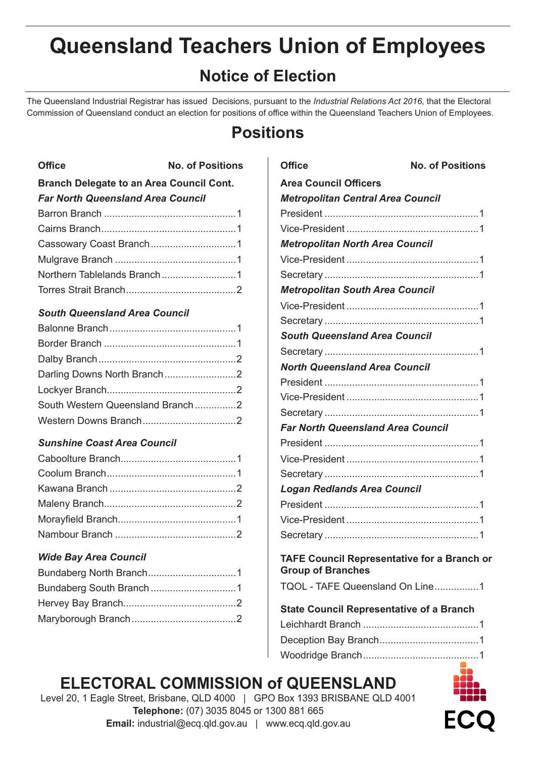# **Queensland Teachers Union of Employees**

# **Notice of Election**

The Queensland Industrial Registrar has issued Decisions, pursuant to the *Industrial Relations Act 2016*, that the Electoral Commission of Queensland conduct an election for positions of office within the Queensland Teachers Union of Employees.

# **Positions**

| <b>Office</b>                                   | <b>No. of Positions</b> |  |
|-------------------------------------------------|-------------------------|--|
| <b>Branch Delegate to an Area Council Cont.</b> |                         |  |
| <b>Far North Queensland Area Council</b>        |                         |  |
|                                                 |                         |  |
|                                                 |                         |  |
|                                                 |                         |  |
|                                                 |                         |  |
|                                                 |                         |  |
|                                                 |                         |  |

#### *South Queensland Area Council*

| South Western Queensland Branch2 |  |
|----------------------------------|--|
|                                  |  |

#### *Sunshine Coast Area Council*

#### *Wide Bay Area Council*

### **Office No. of Positions Area Council Officers** *Metropolitan Central Area Council* President ........................................................1 Vice-President ................................................1 *Metropolitan North Area Council* Vice-President ................................................1 Secretary ........................................................1 *Metropolitan South Area Council* Vice-President ................................................1 Secretary ........................................................1 *South Queensland Area Council* Secretary ........................................................1 *North Queensland Area Council* President ........................................................1 Vice-President ................................................1 Secretary ........................................................1 *Far North Queensland Area Council* President ........................................................1 Vice-President ................................................1 Secretary ........................................................1 *Logan Redlands Area Council* President ........................................................1 Vice-President ................................................1 Secretary ........................................................1 **TAFE Council Representative for a Branch or Group of Branches** TQOL - TAFE Queensland On Line................1

| <b>State Council Representative of a Branch</b> |  |  |
|-------------------------------------------------|--|--|
|                                                 |  |  |
|                                                 |  |  |
|                                                 |  |  |

# **ELECTORAL COMMISSION of QUEENSLAND**

Level 20, 1 Eagle Street, Brisbane, QLD 4000 | GPO Box 1393 BRISBANE QLD 4001 **Telephone:** (07) 3035 8045 or 1300 881 665 **Email:** industrial@ecq.qld.gov.au | www.ecq.qld.gov.au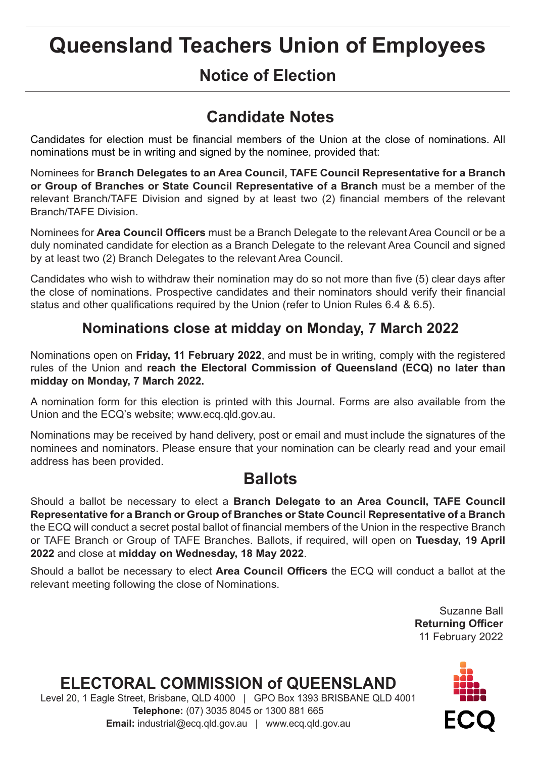# **Queensland Teachers Union of Employees**

# **Notice of Election**

# **Candidate Notes**

Candidates for election must be financial members of the Union at the close of nominations. All nominations must be in writing and signed by the nominee, provided that:

Nominees for **Branch Delegates to an Area Council, TAFE Council Representative for a Branch or Group of Branches or State Council Representative of a Branch** must be a member of the relevant Branch/TAFE Division and signed by at least two (2) financial members of the relevant Branch/TAFE Division.

Nominees for **Area Council Officers** must be a Branch Delegate to the relevant Area Council or be a duly nominated candidate for election as a Branch Delegate to the relevant Area Council and signed by at least two (2) Branch Delegates to the relevant Area Council.

Candidates who wish to withdraw their nomination may do so not more than five (5) clear days after the close of nominations. Prospective candidates and their nominators should verify their financial status and other qualifications required by the Union (refer to Union Rules 6.4 & 6.5).

## **Nominations close at midday on Monday, 7 March 2022**

Nominations open on **Friday, 11 February 2022**, and must be in writing, comply with the registered rules of the Union and **reach the Electoral Commission of Queensland (ECQ) no later than midday on Monday, 7 March 2022.**

A nomination form for this election is printed with this Journal. Forms are also available from the Union and the ECQ's website; www.ecq.qld.gov.au.

Nominations may be received by hand delivery, post or email and must include the signatures of the nominees and nominators. Please ensure that your nomination can be clearly read and your email address has been provided.

# **Ballots**

Should a ballot be necessary to elect a **Branch Delegate to an Area Council, TAFE Council Representative for a Branch or Group of Branches or State Council Representative of a Branch**  the ECQ will conduct a secret postal ballot of financial members of the Union in the respective Branch or TAFE Branch or Group of TAFE Branches. Ballots, if required, will open on **Tuesday, 19 April 2022** and close at **midday on Wednesday, 18 May 2022**.

Should a ballot be necessary to elect **Area Council Officers** the ECQ will conduct a ballot at the relevant meeting following the close of Nominations.

> Suzanne Ball **Returning Officer** 11 February 2022

# **ELECTORAL COMMISSION of QUEENSLAND**

Level 20, 1 Eagle Street, Brisbane, QLD 4000 | GPO Box 1393 BRISBANE QLD 4001 **Telephone:** (07) 3035 8045 or 1300 881 665 **Email:** industrial@ecq.qld.gov.au | www.ecq.qld.gov.au